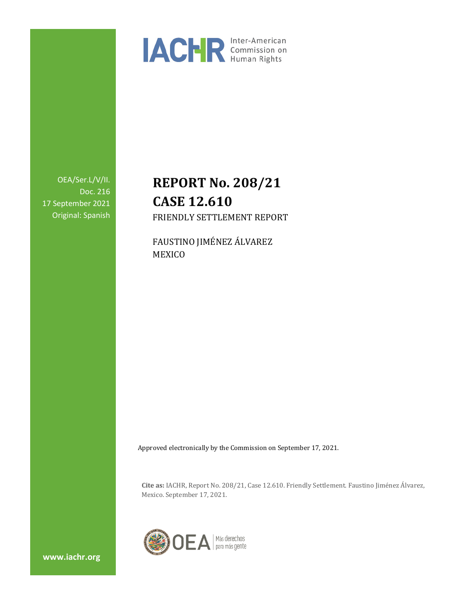

OEA/Ser.L/V/II. Doc. 216 17 September 2021 Original: Spanish

# **REPORT No. 208/21 CASE 12.610** FRIENDLY SETTLEMENT REPORT

FAUSTINO JIMÉNEZ ÁLVAREZ MEXICO

Approved electronically by the Commission on September 17, 2021.

**Cite as:** IACHR, Report No. 208/21, Case 12.610. Friendly Settlement. Faustino Jiménez Álvarez, Mexico. September 17, 2021.



**www.iachr.org**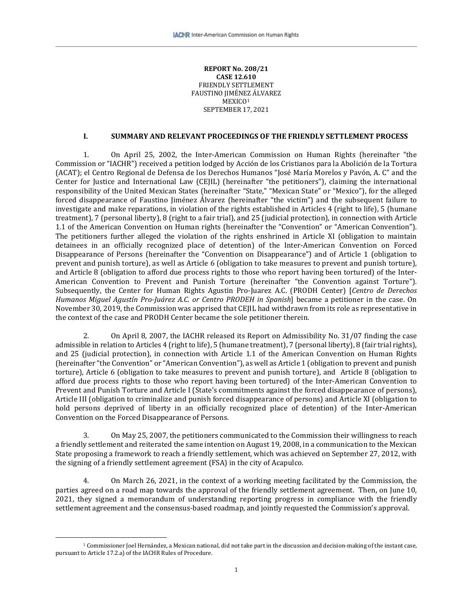#### **REPORT No. 208/21 CASE 12.610** FRIENDLY SETTLEMENT FAUSTINO JIMÉN[EZ](#page-1-0) ÁLVAREZ MEXICO<sup>1</sup> SEPTEMBER 17, 2021

## **I. SUMMARY AND RELEVANT PROCEEDINGS OF THE FRIENDLY SETTLEMENT PROCESS**

1. On April 25, 2002, the Inter-American Commission on Human Rights (hereinafter "the Commission or "IACHR") received a petition lodged by Acción de los Cristianos para la Abolición de la Tortura (ACAT); el Centro Regional de Defensa de los Derechos Humanos "José María Morelos y Pavón, A. C" and the Center for Justice and International Law (CEJIL) (hereinafter "the petitioners"), claiming the international responsibility of the United Mexican States (hereinafter "State," "Mexican State" or "Mexico"), for the alleged forced disappearance of Faustino Jiménez Álvarez (hereinafter "the victim") and the subsequent failure to investigate and make reparations, in violation of the rights established in Articles 4 (right to life), 5 (humane treatment), 7 (personal liberty), 8 (right to a fair trial), and 25 (judicial protection), in connection with Article 1.1 of the American Convention on Human rights (hereinafter the "Convention" or "American Convention"). The petitioners further alleged the violation of the rights enshrined in Article XI (obligation to maintain detainees in an officially recognized place of detention) of the Inter-American Convention on Forced Disappearance of Persons (hereinafter the "Convention on Disappearance") and of Article 1 (obligation to prevent and punish torture), as well as Article 6 (obligation to take measures to prevent and punish torture), and Article 8 (obligation to afford due process rights to those who report having been tortured) of the Inter-American Convention to Prevent and Punish Torture (hereinafter "the Convention against Torture"). Subsequently, the Center for Human Rights Agustin Pro-Juarez A.C. (PRODH Center) [*Centro de Derechos Humanos Miguel Agustín Pro-Juárez A.C. or Centro PRODEH in Spanish*] became a petitioner in the case. On November 30, 2019, the Commission was apprised that CEJIL had withdrawn from its role as representative in the context of the case and PRODH Center became the sole petitioner therein.

2. On April 8, 2007, the IACHR released its Report on Admissibility No. 31/07 finding the case admissible in relation to Articles 4 (right to life), 5 (humane treatment), 7 (personal liberty), 8 (fair trial rights), and 25 (judicial protection), in connection with Article 1.1 of the American Convention on Human Rights (hereinafter "the Convention" or "American Convention"), as well as Article 1 (obligation to prevent and punish torture), Article 6 (obligation to take measures to prevent and punish torture), and Article 8 (obligation to afford due process rights to those who report having been tortured) of the Inter-American Convention to Prevent and Punish Torture and Article I (State's commitments against the forced disappearance of persons), Article III (obligation to criminalize and punish forced disappearance of persons) and Article XI (obligation to hold persons deprived of liberty in an officially recognized place of detention) of the Inter-American Convention on the Forced Disappearance of Persons.

3. On May 25, 2007, the petitioners communicated to the Commission their willingness to reach a friendly settlement and reiterated the same intention on August 19, 2008, in a communication to the Mexican State proposing a framework to reach a friendly settlement, which was achieved on September 27, 2012, with the signing of a friendly settlement agreement (FSA) in the city of Acapulco.

4. On March 26, 2021, in the context of a working meeting facilitated by the Commission, the parties agreed on a road map towards the approval of the friendly settlement agreement. Then, on June 10, 2021, they signed a memorandum of understanding reporting progress in compliance with the friendly settlement agreement and the consensus-based roadmap, and jointly requested the Commission's approval.

<span id="page-1-0"></span><sup>1</sup> Commissioner Joel Hernández, a Mexican national, did not take part in the discussion and decision-making of the instant case, pursuant to Article 17.2.a) of the IACHR Rules of Procedure.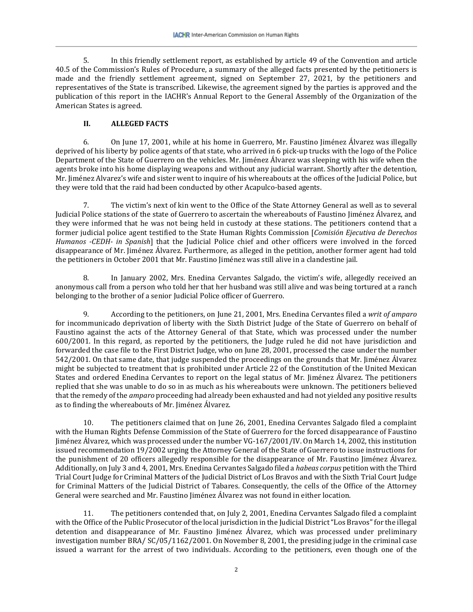5. In this friendly settlement report, as established by article 49 of the Convention and article 40.5 of the Commission's Rules of Procedure, a summary of the alleged facts presented by the petitioners is made and the friendly settlement agreement, signed on September 27, 2021, by the petitioners and representatives of the State is transcribed. Likewise, the agreement signed by the parties is approved and the publication of this report in the IACHR's Annual Report to the General Assembly of the Organization of the American States is agreed.

# **II. ALLEGED FACTS**

6. On June 17, 2001, while at his home in Guerrero, Mr. Faustino Jiménez Álvarez was illegally deprived of his liberty by police agents of that state, who arrived in 6 pick-up trucks with the logo of the Police Department of the State of Guerrero on the vehicles. Mr. Jiménez Álvarez was sleeping with his wife when the agents broke into his home displaying weapons and without any judicial warrant. Shortly after the detention, Mr. Jiménez Alvarez's wife and sister went to inquire of his whereabouts at the offices of the Judicial Police, but they were told that the raid had been conducted by other Acapulco-based agents.

7. The victim's next of kin went to the Office of the State Attorney General as well as to several Judicial Police stations of the state of Guerrero to ascertain the whereabouts of Faustino Jiménez Álvarez, and they were informed that he was not being held in custody at these stations. The petitioners contend that a former judicial police agent testified to the State Human Rights Commission [*Comisión Ejecutiva de Derechos Humanos -CEDH- in Spanish*] that the Judicial Police chief and other officers were involved in the forced disappearance of Mr. Jiménez Álvarez. Furthermore, as alleged in the petition, another former agent had told the petitioners in October 2001 that Mr. Faustino Jiménez was still alive in a clandestine jail.

8. In January 2002, Mrs. Enedina Cervantes Salgado, the victim's wife, allegedly received an anonymous call from a person who told her that her husband was still alive and was being tortured at a ranch belonging to the brother of a senior Judicial Police officer of Guerrero.

9. According to the petitioners, on June 21, 2001, Mrs. Enedina Cervantes filed a *writ of amparo* for incommunicado deprivation of liberty with the Sixth District Judge of the State of Guerrero on behalf of Faustino against the acts of the Attorney General of that State, which was processed under the number 600/2001. In this regard, as reported by the petitioners, the Judge ruled he did not have jurisdiction and forwarded the case file to the First District Judge, who on June 28, 2001, processed the case under the number 542/2001. On that same date, that judge suspended the proceedings on the grounds that Mr. Jiménez Álvarez might be subjected to treatment that is prohibited under Article 22 of the Constitution of the United Mexican States and ordered Enedina Cervantes to report on the legal status of Mr. Jiménez Álvarez. The petitioners replied that she was unable to do so in as much as his whereabouts were unknown. The petitioners believed that the remedy of the *amparo* proceeding had already been exhausted and had not yielded any positive results as to finding the whereabouts of Mr. Jiménez Álvarez.

10. The petitioners claimed that on June 26, 2001, Enedina Cervantes Salgado filed a complaint with the Human Rights Defense Commission of the State of Guerrero for the forced disappearance of Faustino Jiménez Álvarez, which was processed under the number VG-167/2001/IV. On March 14, 2002, this institution issued recommendation 19/2002 urging the Attorney General of the State of Guerrero to issue instructions for the punishment of 20 officers allegedly responsible for the disappearance of Mr. Faustino Jiménez Álvarez. Additionally, on July 3 and 4, 2001, Mrs. Enedina Cervantes Salgado filed a *habeas corpus* petition with the Third Trial Court Judge for Criminal Matters of the Judicial District of Los Bravos and with the Sixth Trial Court Judge for Criminal Matters of the Judicial District of Tabares. Consequently, the cells of the Office of the Attorney General were searched and Mr. Faustino Jiménez Álvarez was not found in either location.

11. The petitioners contended that, on July 2, 2001, Enedina Cervantes Salgado filed a complaint with the Office of the Public Prosecutor of the local jurisdiction in the Judicial District "Los Bravos" for the illegal detention and disappearance of Mr. Faustino Jiménez Álvarez, which was processed under preliminary investigation number BRA/ SC/05/1162/2001. On November 8, 2001, the presiding judge in the criminal case issued a warrant for the arrest of two individuals. According to the petitioners, even though one of the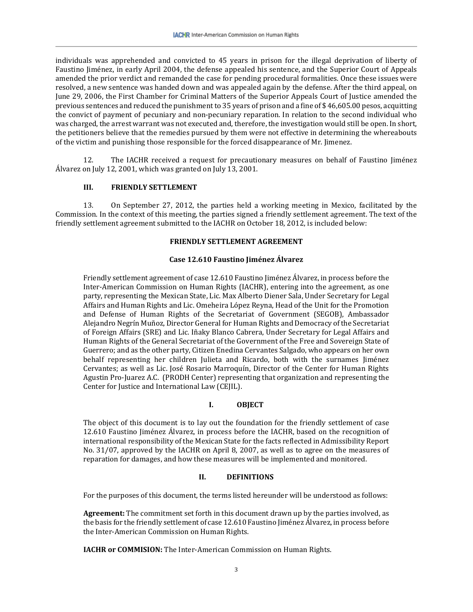individuals was apprehended and convicted to 45 years in prison for the illegal deprivation of liberty of Faustino Jiménez, in early April 2004, the defense appealed his sentence, and the Superior Court of Appeals amended the prior verdict and remanded the case for pending procedural formalities. Once these issues were resolved, a new sentence was handed down and was appealed again by the defense. After the third appeal, on June 29, 2006, the First Chamber for Criminal Matters of the Superior Appeals Court of Justice amended the previous sentences and reduced the punishment to 35 years of prison and a fine of \$ 46,605.00 pesos, acquitting the convict of payment of pecuniary and non-pecuniary reparation. In relation to the second individual who was charged, the arrest warrant was not executed and, therefore, the investigation would still be open. In short, the petitioners believe that the remedies pursued by them were not effective in determining the whereabouts of the victim and punishing those responsible for the forced disappearance of Mr. Jimenez.

12. The IACHR received a request for precautionary measures on behalf of Faustino Jiménez Álvarez on July 12, 2001, which was granted on July 13, 2001.

# **III. FRIENDLY SETTLEMENT**

13. On September 27, 2012, the parties held a working meeting in Mexico, facilitated by the Commission. In the context of this meeting, the parties signed a friendly settlement agreement. The text of the friendly settlement agreement submitted to the IACHR on October 18, 2012, is included below:

#### **FRIENDLY SETTLEMENT AGREEMENT**

#### **Case 12.610 Faustino Jiménez Álvarez**

Friendly settlement agreement of case 12.610 Faustino Jiménez Álvarez, in process before the Inter-American Commission on Human Rights (IACHR), entering into the agreement, as one party, representing the Mexican State, Lic. Max Alberto Diener Sala, Under Secretary for Legal Affairs and Human Rights and Lic. Omeheira López Reyna, Head of the Unit for the Promotion and Defense of Human Rights of the Secretariat of Government (SEGOB), Ambassador Alejandro Negrín Muñoz, Director General for Human Rights and Democracy of the Secretariat of Foreign Affairs (SRE) and Lic. Iñaky Blanco Cabrera, Under Secretary for Legal Affairs and Human Rights of the General Secretariat of the Government of the Free and Sovereign State of Guerrero; and as the other party, Citizen Enedina Cervantes Salgado, who appears on her own behalf representing her children Julieta and Ricardo, both with the surnames Jiménez Cervantes; as well as Lic. José Rosario Marroquín, Director of the Center for Human Rights Agustin Pro-Juarez A.C. (PRODH Center) representing that organization and representing the Center for Justice and International Law (CEJIL).

## **I. OBJECT**

The object of this document is to lay out the foundation for the friendly settlement of case 12.610 Faustino Jiménez Álvarez, in process before the IACHR, based on the recognition of international responsibility of the Mexican State for the facts reflected in Admissibility Report No. 31/07, approved by the IACHR on April 8, 2007, as well as to agree on the measures of reparation for damages, and how these measures will be implemented and monitored.

## **II. DEFINITIONS**

For the purposes of this document, the terms listed hereunder will be understood as follows:

**Agreement:** The commitment set forth in this document drawn up by the parties involved, as the basis for the friendly settlement of case 12.610 Faustino Jiménez Álvarez, in process before the Inter-American Commission on Human Rights.

**IACHR or COMMISION:** The Inter-American Commission on Human Rights.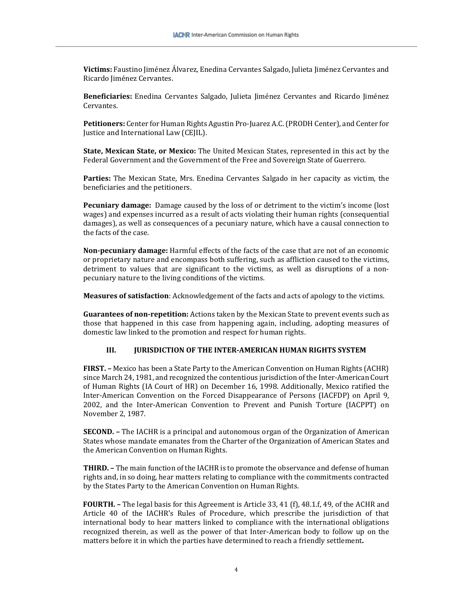**Victims:** Faustino Jiménez Álvarez, Enedina Cervantes Salgado, Julieta Jiménez Cervantes and Ricardo Jiménez Cervantes.

**Beneficiaries:** Enedina Cervantes Salgado, Julieta Jiménez Cervantes and Ricardo Jiménez Cervantes.

**Petitioners:** Center for Human Rights Agustin Pro-Juarez A.C. (PRODH Center), and Center for Justice and International Law (CEJIL).

**State, Mexican State, or Mexico:** The United Mexican States, represented in this act by the Federal Government and the Government of the Free and Sovereign State of Guerrero.

**Parties:** The Mexican State, Mrs. Enedina Cervantes Salgado in her capacity as victim, the beneficiaries and the petitioners.

**Pecuniary damage:** Damage caused by the loss of or detriment to the victim's income (lost wages) and expenses incurred as a result of acts violating their human rights (consequential damages), as well as consequences of a pecuniary nature, which have a causal connection to the facts of the case.

**Non-pecuniary damage:** Harmful effects of the facts of the case that are not of an economic or proprietary nature and encompass both suffering, such as affliction caused to the victims, detriment to values that are significant to the victims, as well as disruptions of a nonpecuniary nature to the living conditions of the victims.

**Measures of satisfaction**: Acknowledgement of the facts and acts of apology to the victims.

**Guarantees of non-repetition:** Actions taken by the Mexican State to prevent events such as those that happened in this case from happening again, including, adopting measures of domestic law linked to the promotion and respect for human rights.

#### **III. JURISDICTION OF THE INTER-AMERICAN HUMAN RIGHTS SYSTEM**

**FIRST. –** Mexico has been a State Party to the American Convention on Human Rights (ACHR) since March 24, 1981, and recognized the contentious jurisdiction of the Inter-American Court of Human Rights (IA Court of HR) on December 16, 1998. Additionally, Mexico ratified the Inter-American Convention on the Forced Disappearance of Persons (IACFDP) on April 9, 2002, and the Inter-American Convention to Prevent and Punish Torture (IACPPT) on November 2, 1987.

**SECOND. –** The IACHR is a principal and autonomous organ of the Organization of American States whose mandate emanates from the Charter of the Organization of American States and the American Convention on Human Rights.

**THIRD. –** The main function of the IACHR is to promote the observance and defense of human rights and, in so doing, hear matters relating to compliance with the commitments contracted by the States Party to the American Convention on Human Rights.

**FOURTH. –** The legal basis for this Agreement is Article 33, 41 (f), 48.1.f, 49, of the ACHR and Article 40 of the IACHR's Rules of Procedure, which prescribe the jurisdiction of that international body to hear matters linked to compliance with the international obligations recognized therein, as well as the power of that Inter-American body to follow up on the matters before it in which the parties have determined to reach a friendly settlement**.**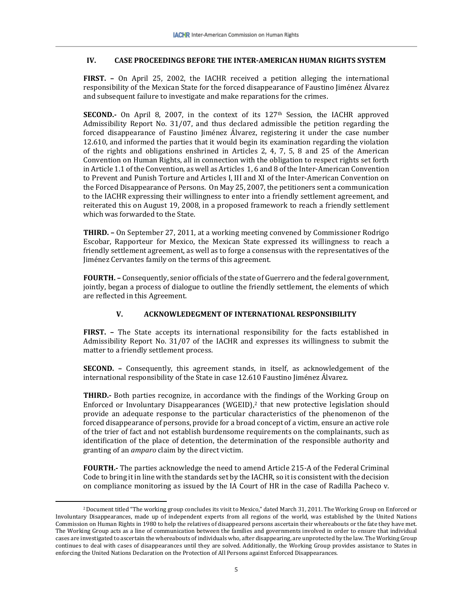## **IV. CASE PROCEEDINGS BEFORE THE INTER-AMERICAN HUMAN RIGHTS SYSTEM**

**FIRST. –** On April 25, 2002, the IACHR received a petition alleging the international responsibility of the Mexican State for the forced disappearance of Faustino Jiménez Álvarez and subsequent failure to investigate and make reparations for the crimes.

**SECOND.**- On April 8, 2007, in the context of its 127<sup>th</sup> Session, the IACHR approved Admissibility Report No. 31/07, and thus declared admissible the petition regarding the forced disappearance of Faustino Jiménez Álvarez, registering it under the case number 12.610, and informed the parties that it would begin its examination regarding the violation of the rights and obligations enshrined in Articles 2, 4, 7, 5, 8 and 25 of the American Convention on Human Rights, all in connection with the obligation to respect rights set forth in Article 1.1 of the Convention, as well as Articles 1, 6 and 8 of the Inter-American Convention to Prevent and Punish Torture and Articles I, III and XI of the Inter-American Convention on the Forced Disappearance of Persons. On May 25, 2007, the petitioners sent a communication to the IACHR expressing their willingness to enter into a friendly settlement agreement, and reiterated this on August 19, 2008, in a proposed framework to reach a friendly settlement which was forwarded to the State.

**THIRD. –** On September 27, 2011, at a working meeting convened by Commissioner Rodrigo Escobar, Rapporteur for Mexico, the Mexican State expressed its willingness to reach a friendly settlement agreement, as well as to forge a consensus with the representatives of the Jiménez Cervantes family on the terms of this agreement.

**FOURTH.** – Consequently, senior officials of the state of Guerrero and the federal government, jointly, began a process of dialogue to outline the friendly settlement, the elements of which are reflected in this Agreement.

## **V. ACKNOWLEDEGMENT OF INTERNATIONAL RESPONSIBILITY**

**FIRST. –** The State accepts its international responsibility for the facts established in Admissibility Report No. 31/07 of the IACHR and expresses its willingness to submit the matter to a friendly settlement process.

**SECOND. –** Consequently, this agreement stands, in itself, as acknowledgement of the international responsibility of the State in case 12.610 Faustino Jiménez Álvarez.

**THIRD.-** Both parties recognize, in accordance wit[h](#page-5-0) the findings of the Working Group on Enforced or Involuntary Disappearances (WGEID), <sup>2</sup> that new protective legislation should provide an adequate response to the particular characteristics of the phenomenon of the forced disappearance of persons, provide for a broad concept of a victim, ensure an active role of the trier of fact and not establish burdensome requirements on the complainants, such as identification of the place of detention, the determination of the responsible authority and granting of an *amparo* claim by the direct victim.

**FOURTH.-** The parties acknowledge the need to amend Article 215-A of the Federal Criminal Code to bring it in line with the standards set by the IACHR, so it is consistent with the decision on compliance monitoring as issued by the IA Court of HR in the case of Radilla Pacheco v.

<span id="page-5-0"></span><sup>2</sup>Document titled "The working group concludes its visit to Mexico," dated March 31, 2011. The Working Group on Enforced or Involuntary Disappearances, made up of independent experts from all regions of the world, was established by the United Nations Commission on Human Rights in 1980 to help the relatives of disappeared persons ascertain their whereabouts or the fate they have met. The Working Group acts as a line of communication between the families and governments involved in order to ensure that individual cases are investigated to ascertain the whereabouts of individuals who, after disappearing, are unprotected by the law. The Working Group continues to deal with cases of disappearances until they are solved. Additionally, the Working Group provides assistance to States in enforcing the United Nations Declaration on the Protection of All Persons against Enforced Disappearances.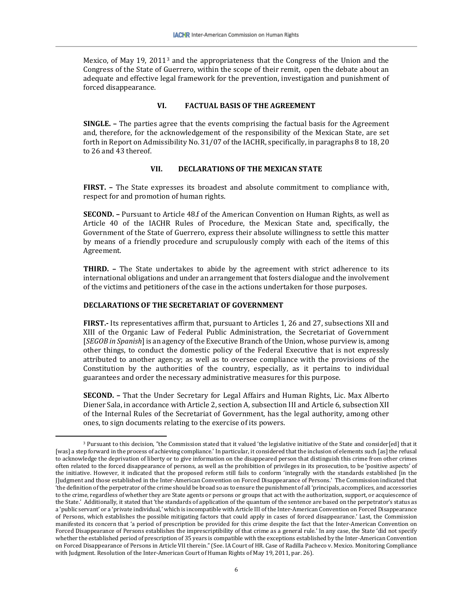Mexico, of May 19, 2011[3](#page-6-0) and the appropriateness that the Congress of the Union and the Congress of the State of Guerrero, within the scope of their remit, open the debate about an adequate and effective legal framework for the prevention, investigation and punishment of forced disappearance.

#### **VI. FACTUAL BASIS OF THE AGREEMENT**

**SINGLE. –** The parties agree that the events comprising the factual basis for the Agreement and, therefore, for the acknowledgement of the responsibility of the Mexican State, are set forth in Report on Admissibility No. 31/07 of the IACHR, specifically, in paragraphs 8 to 18, 20 to 26 and 43 thereof.

#### **VII. DECLARATIONS OF THE MEXICAN STATE**

**FIRST. –** The State expresses its broadest and absolute commitment to compliance with, respect for and promotion of human rights.

**SECOND. –** Pursuant to Article 48.f of the American Convention on Human Rights, as well as Article 40 of the IACHR Rules of Procedure, the Mexican State and, specifically, the Government of the State of Guerrero, express their absolute willingness to settle this matter by means of a friendly procedure and scrupulously comply with each of the items of this Agreement.

**THIRD. –** The State undertakes to abide by the agreement with strict adherence to its international obligations and under an arrangement that fosters dialogue and the involvement of the victims and petitioners of the case in the actions undertaken for those purposes.

#### **DECLARATIONS OF THE SECRETARIAT OF GOVERNMENT**

**FIRST.-** Its representatives affirm that, pursuant to Articles 1, 26 and 27, subsections XII and XIII of the Organic Law of Federal Public Administration, the Secretariat of Government [*SEGOB in Spanish*]is an agency of the Executive Branch of the Union, whose purview is, among other things, to conduct the domestic policy of the Federal Executive that is not expressly attributed to another agency; as well as to oversee compliance with the provisions of the Constitution by the authorities of the country, especially, as it pertains to individual guarantees and order the necessary administrative measures for this purpose.

**SECOND. –** That the Under Secretary for Legal Affairs and Human Rights, Lic. Max Alberto Diener Sala, in accordance with Article 2, section A, subsection III and Article 6, subsection XII of the Internal Rules of the Secretariat of Government, has the legal authority, among other ones, to sign documents relating to the exercise of its powers.

<span id="page-6-0"></span><sup>&</sup>lt;sup>3</sup> Pursuant to this decision, "the Commission stated that it valued 'the legislative initiative of the State and consider[ed] that it [was] a step forward in the process of achieving compliance.' In particular, it considered that the inclusion of elements such [as] the refusal to acknowledge the deprivation of liberty or to give information on the disappeared person that distinguish this crime from other crimes often related to the forced disappearance of persons, as well as the prohibition of privileges in its prosecution, to be 'positive aspects' of the initiative. However, it indicated that the proposed reform still fails to conform 'integrally with the standards established [in the J]udgment and those established in the Inter-American Convention on Forced Disappearance of Persons.' The Commission indicated that 'the definition of the perpetrator of the crime should be broad so as to ensure the punishment of all 'principals, accomplices, and accessories to the crime, regardless of whether they are State agents or persons or groups that act with the authorization, support, or acquiescence of the State.' Additionally, it stated that 'the standards of application of the quantum of the sentence are based on the perpetrator's status as a 'public servant' or a 'private individual,' which is incompatible with Article III of the Inter-American Convention on Forced Disappearance of Persons, which establishes the possible mitigating factors that could apply in cases of forced disappearance.' Last, the Commission manifested its concern that 'a period of prescription be provided for this crime despite the fact that the Inter-American Convention on Forced Disappearance of Persons establishes the imprescriptibility of that crime as a general rule.' In any case, the State 'did not specify whether the established period of prescription of 35 years is compatible with the exceptions established by the Inter-American Convention on Forced Disappearance of Persons in Article VII therein." (See. IA Court of HR. Case of Radilla Pacheco v. Mexico. Monitoring Compliance with Judgment. Resolution of the Inter-American Court of Human Rights of May 19, 2011, par. 26).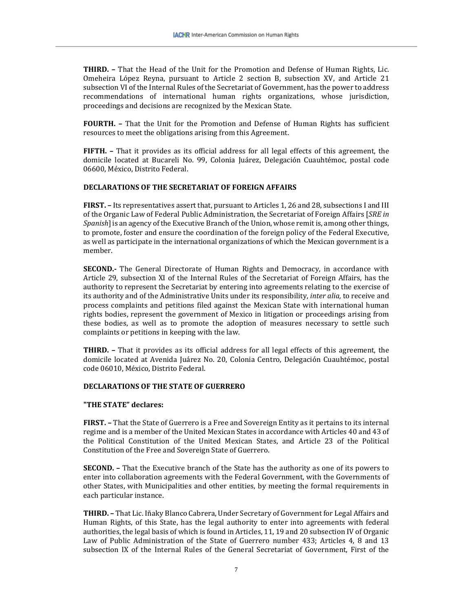**THIRD. –** That the Head of the Unit for the Promotion and Defense of Human Rights, Lic. Omeheira López Reyna, pursuant to Article 2 section B, subsection XV, and Article 21 subsection VI of the Internal Rules of the Secretariat of Government, has the power to address recommendations of international human rights organizations, whose jurisdiction, proceedings and decisions are recognized by the Mexican State.

**FOURTH. –** That the Unit for the Promotion and Defense of Human Rights has sufficient resources to meet the obligations arising from this Agreement.

**FIFTH. –** That it provides as its official address for all legal effects of this agreement, the domicile located at Bucareli No. 99, Colonia Juárez, Delegación Cuauhtémoc, postal code 06600, México, Distrito Federal.

## **DECLARATIONS OF THE SECRETARIAT OF FOREIGN AFFAIRS**

**FIRST. –** Its representatives assert that, pursuant to Articles 1, 26 and 28, subsections I and III of the Organic Law of Federal Public Administration, the Secretariat of Foreign Affairs [*SRE in Spanish*] is an agency of the Executive Branch of the Union, whose remit is, among other things, to promote, foster and ensure the coordination of the foreign policy of the Federal Executive, as well as participate in the international organizations of which the Mexican government is a member.

**SECOND.-** The General Directorate of Human Rights and Democracy, in accordance with Article 29, subsection XI of the Internal Rules of the Secretariat of Foreign Affairs, has the authority to represent the Secretariat by entering into agreements relating to the exercise of its authority and of the Administrative Units under its responsibility, *inter alia,* to receive and process complaints and petitions filed against the Mexican State with international human rights bodies, represent the government of Mexico in litigation or proceedings arising from these bodies, as well as to promote the adoption of measures necessary to settle such complaints or petitions in keeping with the law.

**THIRD. –** That it provides as its official address for all legal effects of this agreement, the domicile located at Avenida Juárez No. 20, Colonia Centro, Delegación Cuauhtémoc, postal code 06010, México, Distrito Federal.

#### **DECLARATIONS OF THE STATE OF GUERRERO**

#### **"THE STATE" declares:**

**FIRST. –** That the State of Guerrero is a Free and Sovereign Entity as it pertains to its internal regime and is a member of the United Mexican States in accordance with Articles 40 and 43 of the Political Constitution of the United Mexican States, and Article 23 of the Political Constitution of the Free and Sovereign State of Guerrero.

**SECOND. –** That the Executive branch of the State has the authority as one of its powers to enter into collaboration agreements with the Federal Government, with the Governments of other States, with Municipalities and other entities, by meeting the formal requirements in each particular instance.

**THIRD. –** That Lic. Iñaky Blanco Cabrera, Under Secretary of Government for Legal Affairs and Human Rights, of this State, has the legal authority to enter into agreements with federal authorities, the legal basis of which is found in Articles, 11, 19 and 20 subsection IV of Organic Law of Public Administration of the State of Guerrero number 433; Articles 4, 8 and 13 subsection IX of the Internal Rules of the General Secretariat of Government, First of the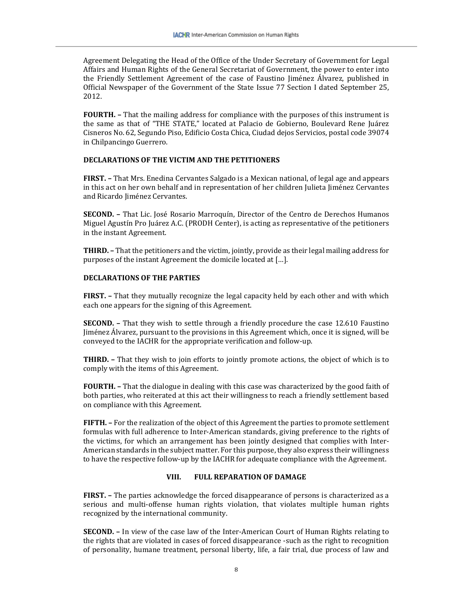Agreement Delegating the Head of the Office of the Under Secretary of Government for Legal Affairs and Human Rights of the General Secretariat of Government, the power to enter into the Friendly Settlement Agreement of the case of Faustino Jiménez Álvarez, published in Official Newspaper of the Government of the State Issue 77 Section I dated September 25, 2012.

**FOURTH. –** That the mailing address for compliance with the purposes of this instrument is the same as that of "THE STATE," located at Palacio de Gobierno, Boulevard Rene Juárez Cisneros No. 62, Segundo Piso, Edificio Costa Chica, Ciudad dejos Servicios, postal code 39074 in Chilpancingo Guerrero.

#### **DECLARATIONS OF THE VICTIM AND THE PETITIONERS**

**FIRST. –** That Mrs. Enedina Cervantes Salgado is a Mexican national, of legal age and appears in this act on her own behalf and in representation of her children Julieta Jiménez Cervantes and Ricardo Jiménez Cervantes.

**SECOND. –** That Lic. José Rosario Marroquín, Director of the Centro de Derechos Humanos Miguel Agustín Pro Juárez A.C. (PRODH Center), is acting as representative of the petitioners in the instant Agreement.

**THIRD. –** That the petitioners and the victim, jointly, provide as their legal mailing address for purposes of the instant Agreement the domicile located at […].

#### **DECLARATIONS OF THE PARTIES**

**FIRST. –** That they mutually recognize the legal capacity held by each other and with which each one appears for the signing of this Agreement.

**SECOND. –** That they wish to settle through a friendly procedure the case 12.610 Faustino Jiménez Álvarez, pursuant to the provisions in this Agreement which, once it is signed, will be conveyed to the IACHR for the appropriate verification and follow-up.

**THIRD. –** That they wish to join efforts to jointly promote actions, the object of which is to comply with the items of this Agreement.

**FOURTH. –** That the dialogue in dealing with this case was characterized by the good faith of both parties, who reiterated at this act their willingness to reach a friendly settlement based on compliance with this Agreement.

**FIFTH. –** For the realization of the object of this Agreement the parties to promote settlement formulas with full adherence to Inter-American standards, giving preference to the rights of the victims, for which an arrangement has been jointly designed that complies with Inter-American standards in the subject matter. For this purpose, they also express their willingness to have the respective follow-up by the IACHR for adequate compliance with the Agreement.

#### **VIII. FULL REPARATION OF DAMAGE**

**FIRST. –** The parties acknowledge the forced disappearance of persons is characterized as a serious and multi-offense human rights violation, that violates multiple human rights recognized by the international community.

**SECOND. –** In view of the case law of the Inter-American Court of Human Rights relating to the rights that are violated in cases of forced disappearance -such as the right to recognition of personality, humane treatment, personal liberty, life, a fair trial, due process of law and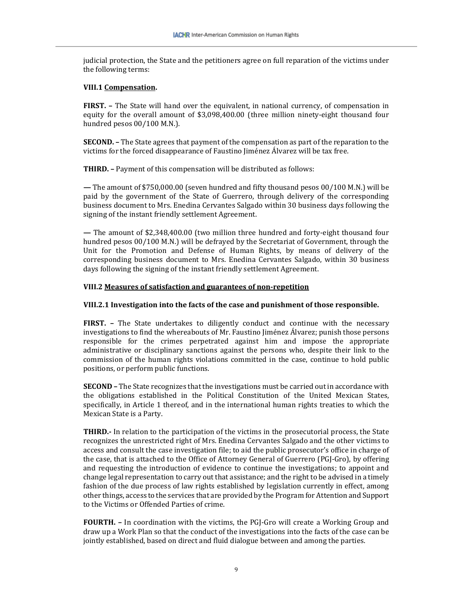judicial protection, the State and the petitioners agree on full reparation of the victims under the following terms:

#### **VIII.1 Compensation.**

**FIRST. –** The State will hand over the equivalent, in national currency, of compensation in equity for the overall amount of \$3,098,400.00 (three million ninety-eight thousand four hundred pesos 00/100 M.N.).

**SECOND. –** The State agrees that payment of the compensation as part of the reparation to the victims for the forced disappearance of Faustino Jiménez Álvarez will be tax free.

**THIRD. –** Payment of this compensation will be distributed as follows:

**—** The amount of \$750,000.00 (seven hundred and fifty thousand pesos 00/100 M.N.) will be paid by the government of the State of Guerrero, through delivery of the corresponding business document to Mrs. Enedina Cervantes Salgado within 30 business days following the signing of the instant friendly settlement Agreement.

**—** The amount of \$2,348,400.00 (two million three hundred and forty-eight thousand four hundred pesos 00/100 M.N.) will be defrayed by the Secretariat of Government, through the Unit for the Promotion and Defense of Human Rights, by means of delivery of the corresponding business document to Mrs. Enedina Cervantes Salgado, within 30 business days following the signing of the instant friendly settlement Agreement.

#### **VIII.2 Measures of satisfaction and guarantees of non-repetition**

#### **VIII.2.1 Investigation into the facts of the case and punishment of those responsible.**

**FIRST. –** The State undertakes to diligently conduct and continue with the necessary investigations to find the whereabouts of Mr. Faustino Jiménez Álvarez; punish those persons responsible for the crimes perpetrated against him and impose the appropriate administrative or disciplinary sanctions against the persons who, despite their link to the commission of the human rights violations committed in the case, continue to hold public positions, or perform public functions.

**SECOND –** The State recognizes that the investigations must be carried out in accordance with the obligations established in the Political Constitution of the United Mexican States, specifically, in Article 1 thereof, and in the international human rights treaties to which the Mexican State is a Party.

**THIRD.-** In relation to the participation of the victims in the prosecutorial process, the State recognizes the unrestricted right of Mrs. Enedina Cervantes Salgado and the other victims to access and consult the case investigation file; to aid the public prosecutor's office in charge of the case, that is attached to the Office of Attorney General of Guerrero (PGJ-Gro), by offering and requesting the introduction of evidence to continue the investigations; to appoint and change legal representation to carry out that assistance; and the right to be advised in a timely fashion of the due process of law rights established by legislation currently in effect, among other things, access to the services that are provided by the Program for Attention and Support to the Victims or Offended Parties of crime.

**FOURTH.** – In coordination with the victims, the PGJ-Gro will create a Working Group and draw up a Work Plan so that the conduct of the investigations into the facts of the case can be jointly established, based on direct and fluid dialogue between and among the parties.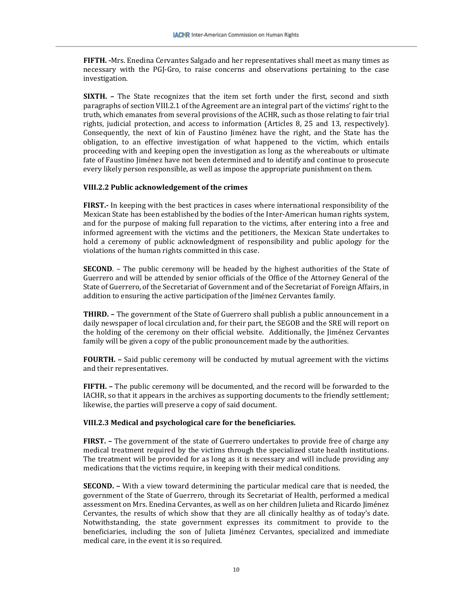**FIFTH. -**Mrs. Enedina Cervantes Salgado and her representatives shall meet as many times as necessary with the PGJ-Gro, to raise concerns and observations pertaining to the case investigation.

**SIXTH. –** The State recognizes that the item set forth under the first, second and sixth paragraphs of section VIII.2.1 of the Agreement are an integral part of the victims' right to the truth, which emanates from several provisions of the ACHR, such as those relating to fair trial rights, judicial protection, and access to information (Articles 8, 25 and 13, respectively). Consequently, the next of kin of Faustino Jiménez have the right, and the State has the obligation, to an effective investigation of what happened to the victim, which entails proceeding with and keeping open the investigation as long as the whereabouts or ultimate fate of Faustino Jiménez have not been determined and to identify and continue to prosecute every likely person responsible, as well as impose the appropriate punishment on them.

#### **VIII.2.2 Public acknowledgement of the crimes**

**FIRST.-** In keeping with the best practices in cases where international responsibility of the Mexican State has been established by the bodies of the Inter-American human rights system, and for the purpose of making full reparation to the victims, after entering into a free and informed agreement with the victims and the petitioners, the Mexican State undertakes to hold a ceremony of public acknowledgment of responsibility and public apology for the violations of the human rights committed in this case.

**SECOND.** – The public ceremony will be headed by the highest authorities of the State of Guerrero and will be attended by senior officials of the Office of the Attorney General of the State of Guerrero, of the Secretariat of Government and of the Secretariat of Foreign Affairs, in addition to ensuring the active participation of the Jiménez Cervantes family.

**THIRD. –** The government of the State of Guerrero shall publish a public announcement in a daily newspaper of local circulation and, for their part, the SEGOB and the SRE will report on the holding of the ceremony on their official website. Additionally, the Jiménez Cervantes family will be given a copy of the public pronouncement made by the authorities.

**FOURTH.** - Said public ceremony will be conducted by mutual agreement with the victims and their representatives.

**FIFTH. –** The public ceremony will be documented, and the record will be forwarded to the IACHR, so that it appears in the archives as supporting documents to the friendly settlement; likewise, the parties will preserve a copy of said document.

## **VIII.2.3 Medical and psychological care for the beneficiaries.**

**FIRST. –** The government of the state of Guerrero undertakes to provide free of charge any medical treatment required by the victims through the specialized state health institutions. The treatment will be provided for as long as it is necessary and will include providing any medications that the victims require, in keeping with their medical conditions.

**SECOND. –** With a view toward determining the particular medical care that is needed, the government of the State of Guerrero, through its Secretariat of Health, performed a medical assessment on Mrs. Enedina Cervantes, as well as on her children Julieta and Ricardo Jiménez Cervantes, the results of which show that they are all clinically healthy as of today's date. Notwithstanding, the state government expresses its commitment to provide to the beneficiaries, including the son of Julieta Jiménez Cervantes, specialized and immediate medical care, in the event it is so required.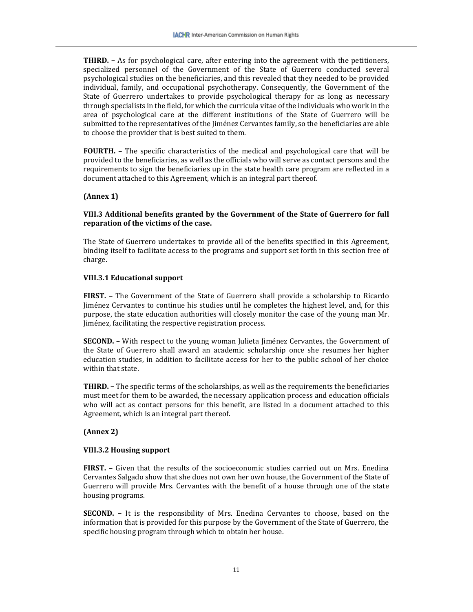**THIRD. –** As for psychological care, after entering into the agreement with the petitioners, specialized personnel of the Government of the State of Guerrero conducted several psychological studies on the beneficiaries, and this revealed that they needed to be provided individual, family, and occupational psychotherapy. Consequently, the Government of the State of Guerrero undertakes to provide psychological therapy for as long as necessary through specialists in the field, for which the curricula vitae of the individuals who work in the area of psychological care at the different institutions of the State of Guerrero will be submitted to the representatives of the Jiménez Cervantes family, so the beneficiaries are able to choose the provider that is best suited to them.

**FOURTH. –** The specific characteristics of the medical and psychological care that will be provided to the beneficiaries, as well as the officials who will serve as contact persons and the requirements to sign the beneficiaries up in the state health care program are reflected in a document attached to this Agreement, which is an integral part thereof.

## **(Annex 1)**

## **VIII.3 Additional benefits granted by the Government of the State of Guerrero for full reparation of the victims of the case.**

The State of Guerrero undertakes to provide all of the benefits specified in this Agreement, binding itself to facilitate access to the programs and support set forth in this section free of charge.

## **VIII.3.1 Educational support**

**FIRST. –** The Government of the State of Guerrero shall provide a scholarship to Ricardo Jiménez Cervantes to continue his studies until he completes the highest level, and, for this purpose, the state education authorities will closely monitor the case of the young man Mr. Jiménez, facilitating the respective registration process.

**SECOND.** – With respect to the young woman Julieta Jiménez Cervantes, the Government of the State of Guerrero shall award an academic scholarship once she resumes her higher education studies, in addition to facilitate access for her to the public school of her choice within that state.

**THIRD. –** The specific terms of the scholarships, as well as the requirements the beneficiaries must meet for them to be awarded, the necessary application process and education officials who will act as contact persons for this benefit, are listed in a document attached to this Agreement, which is an integral part thereof.

## **(Annex 2)**

## **VIII.3.2 Housing support**

**FIRST. –** Given that the results of the socioeconomic studies carried out on Mrs. Enedina Cervantes Salgado show that she does not own her own house, the Government of the State of Guerrero will provide Mrs. Cervantes with the benefit of a house through one of the state housing programs.

**SECOND. –** It is the responsibility of Mrs. Enedina Cervantes to choose, based on the information that is provided for this purpose by the Government of the State of Guerrero, the specific housing program through which to obtain her house.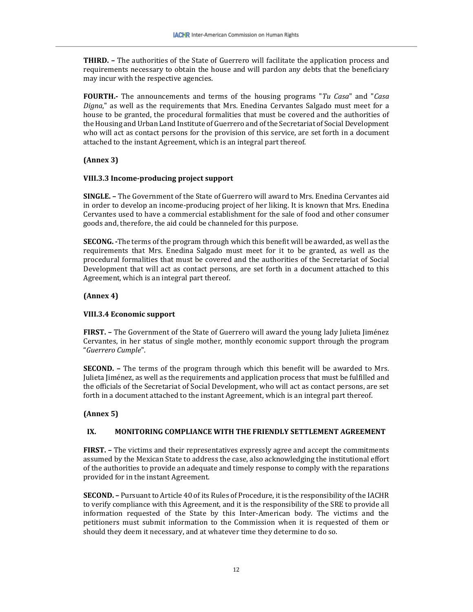**THIRD. –** The authorities of the State of Guerrero will facilitate the application process and requirements necessary to obtain the house and will pardon any debts that the beneficiary may incur with the respective agencies.

**FOURTH.-** The announcements and terms of the housing programs "*Tu Casa*" and "*Casa Digna*," as well as the requirements that Mrs. Enedina Cervantes Salgado must meet for a house to be granted, the procedural formalities that must be covered and the authorities of the Housing and Urban Land Institute of Guerrero and of the Secretariat of Social Development who will act as contact persons for the provision of this service, are set forth in a document attached to the instant Agreement, which is an integral part thereof.

## **(Annex 3)**

## **VIII.3.3 Income-producing project support**

**SINGLE. –** The Government of the State of Guerrero will award to Mrs. Enedina Cervantes aid in order to develop an income-producing project of her liking. It is known that Mrs. Enedina Cervantes used to have a commercial establishment for the sale of food and other consumer goods and, therefore, the aid could be channeled for this purpose.

**SECONG. -**The terms of the program through which this benefit will be awarded, as well as the requirements that Mrs. Enedina Salgado must meet for it to be granted, as well as the procedural formalities that must be covered and the authorities of the Secretariat of Social Development that will act as contact persons, are set forth in a document attached to this Agreement, which is an integral part thereof.

## **(Annex 4)**

## **VIII.3.4 Economic support**

**FIRST. –** The Government of the State of Guerrero will award the young lady Julieta Jiménez Cervantes, in her status of single mother, monthly economic support through the program "*Guerrero Cumple*".

**SECOND. –** The terms of the program through which this benefit will be awarded to Mrs. Julieta Jiménez, as well as the requirements and application process that must be fulfilled and the officials of the Secretariat of Social Development, who will act as contact persons, are set forth in a document attached to the instant Agreement, which is an integral part thereof.

## **(Annex 5)**

## **IX. MONITORING COMPLIANCE WITH THE FRIENDLY SETTLEMENT AGREEMENT**

**FIRST. –** The victims and their representatives expressly agree and accept the commitments assumed by the Mexican State to address the case, also acknowledging the institutional effort of the authorities to provide an adequate and timely response to comply with the reparations provided for in the instant Agreement.

**SECOND. –** Pursuant to Article 40 of its Rules of Procedure, it is the responsibility of the IACHR to verify compliance with this Agreement, and it is the responsibility of the SRE to provide all information requested of the State by this Inter-American body. The victims and the petitioners must submit information to the Commission when it is requested of them or should they deem it necessary, and at whatever time they determine to do so.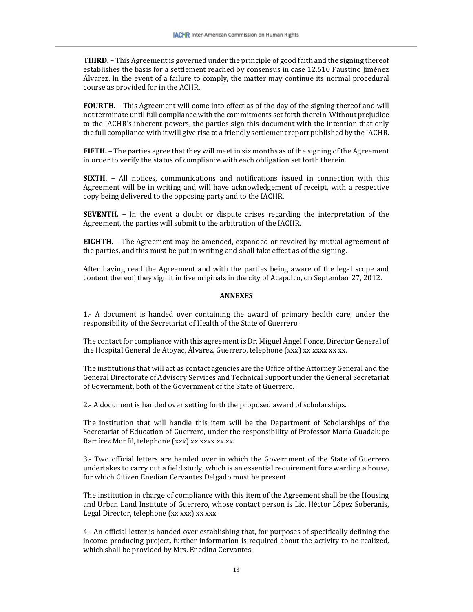**THIRD. –** This Agreement is governed under the principle of good faith and the signing thereof establishes the basis for a settlement reached by consensus in case 12.610 Faustino Jiménez Álvarez. In the event of a failure to comply, the matter may continue its normal procedural course as provided for in the ACHR.

**FOURTH. –** This Agreement will come into effect as of the day of the signing thereof and will not terminate until full compliance with the commitments set forth therein. Without prejudice to the IACHR's inherent powers, the parties sign this document with the intention that only the full compliance with it will give rise to a friendly settlement report published by the IACHR.

**FIFTH. –** The parties agree that they will meet in six months as of the signing of the Agreement in order to verify the status of compliance with each obligation set forth therein.

**SIXTH. –** All notices, communications and notifications issued in connection with this Agreement will be in writing and will have acknowledgement of receipt, with a respective copy being delivered to the opposing party and to the IACHR.

**SEVENTH. –** In the event a doubt or dispute arises regarding the interpretation of the Agreement, the parties will submit to the arbitration of the IACHR.

**EIGHTH. –** The Agreement may be amended, expanded or revoked by mutual agreement of the parties, and this must be put in writing and shall take effect as of the signing.

After having read the Agreement and with the parties being aware of the legal scope and content thereof, they sign it in five originals in the city of Acapulco, on September 27, 2012.

#### **ANNEXES**

1.- A document is handed over containing the award of primary health care, under the responsibility of the Secretariat of Health of the State of Guerrero.

The contact for compliance with this agreement is Dr. Miguel Ángel Ponce, Director General of the Hospital General de Atoyac, Álvarez, Guerrero, telephone (xxx) xx xxxx xx xx.

The institutions that will act as contact agencies are the Office of the Attorney General and the General Directorate of Advisory Services and Technical Support under the General Secretariat of Government, both of the Government of the State of Guerrero.

2.- A document is handed over setting forth the proposed award of scholarships.

The institution that will handle this item will be the Department of Scholarships of the Secretariat of Education of Guerrero, under the responsibility of Professor María Guadalupe Ramírez Monfil, telephone (xxx) xx xxxx xx xx.

3.- Two official letters are handed over in which the Government of the State of Guerrero undertakes to carry out a field study, which is an essential requirement for awarding a house, for which Citizen Enedian Cervantes Delgado must be present.

The institution in charge of compliance with this item of the Agreement shall be the Housing and Urban Land Institute of Guerrero, whose contact person is Lic. Héctor López Soberanis, Legal Director, telephone (xx xxx) xx xxx.

4.- An official letter is handed over establishing that, for purposes of specifically defining the income-producing project, further information is required about the activity to be realized, which shall be provided by Mrs. Enedina Cervantes.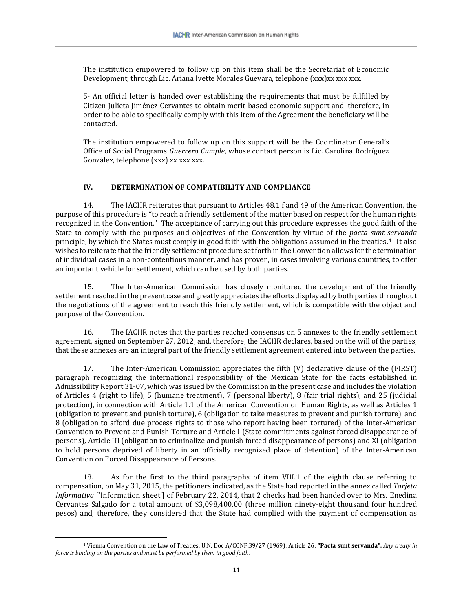The institution empowered to follow up on this item shall be the Secretariat of Economic Development, through Lic. Ariana Ivette Morales Guevara, telephone (xxx)xx xxx xxx.

5- An official letter is handed over establishing the requirements that must be fulfilled by Citizen Julieta Jiménez Cervantes to obtain merit-based economic support and, therefore, in order to be able to specifically comply with this item of the Agreement the beneficiary will be contacted.

The institution empowered to follow up on this support will be the Coordinator General's Office of Social Programs *Guerrero Cumple*, whose contact person is Lic. Carolina Rodríguez González, telephone (xxx) xx xxx xxx.

## **IV. DETERMINATION OF COMPATIBILITY AND COMPLIANCE**

14. The IACHR reiterates that pursuant to Articles 48.1.f and 49 of the American Convention, the purpose of this procedure is "to reach a friendly settlement of the matter based on respect for the human rights recognized in the Convention." The acceptance of carrying out this procedure expresses the good faith of the State to comply with the purposes and objectives of the Convention by virtue of the *pacta sunt servanda* principle, by which the States must comply in good faith with the obligations assumed in the treaties.[4](#page-14-0) It also wishes to reiterate that the friendly settlement procedure set forth in the Convention allows for the termination of individual cases in a non-contentious manner, and has proven, in cases involving various countries, to offer an important vehicle for settlement, which can be used by both parties.

15. The Inter-American Commission has closely monitored the development of the friendly settlement reached in the present case and greatly appreciates the efforts displayed by both parties throughout the negotiations of the agreement to reach this friendly settlement, which is compatible with the object and purpose of the Convention.

16. The IACHR notes that the parties reached consensus on 5 annexes to the friendly settlement agreement, signed on September 27, 2012, and, therefore, the IACHR declares, based on the will of the parties, that these annexes are an integral part of the friendly settlement agreement entered into between the parties.

17. The Inter-American Commission appreciates the fifth (V) declarative clause of the (FIRST) paragraph recognizing the international responsibility of the Mexican State for the facts established in Admissibility Report 31-07, which was issued by the Commission in the present case and includes the violation of Articles 4 (right to life), 5 (humane treatment), 7 (personal liberty), 8 (fair trial rights), and 25 (judicial protection), in connection with Article 1.1 of the American Convention on Human Rights, as well as Articles 1 (obligation to prevent and punish torture), 6 (obligation to take measures to prevent and punish torture), and 8 (obligation to afford due process rights to those who report having been tortured) of the Inter-American Convention to Prevent and Punish Torture and Article I (State commitments against forced disappearance of persons), Article III (obligation to criminalize and punish forced disappearance of persons) and XI (obligation to hold persons deprived of liberty in an officially recognized place of detention) of the Inter-American Convention on Forced Disappearance of Persons.

18. As for the first to the third paragraphs of item VIII.1 of the eighth clause referring to compensation, on May 31, 2015, the petitioners indicated, as the State had reported in the annex called *Tarjeta Informativa* ['Information sheet'] of February 22, 2014, that 2 checks had been handed over to Mrs. Enedina Cervantes Salgado for a total amount of \$3,098,400.00 (three million ninety-eight thousand four hundred pesos) and, therefore, they considered that the State had complied with the payment of compensation as

<span id="page-14-0"></span><sup>4</sup> Vienna Convention on the Law of Treaties, U.N. Doc A/CONF.39/27 (1969), Article 26: **"Pacta sunt servanda".** *Any treaty in force is binding on the parties and must be performed by them in good faith.*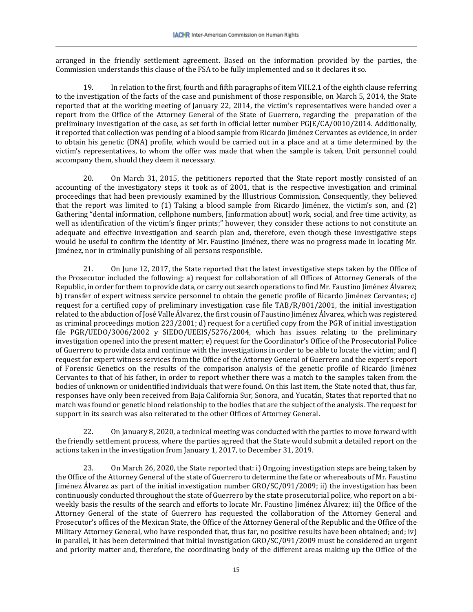arranged in the friendly settlement agreement. Based on the information provided by the parties, the Commission understands this clause of the FSA to be fully implemented and so it declares it so.

19. In relation to the first, fourth and fifth paragraphs of item VIII.2.1 of the eighth clause referring to the investigation of the facts of the case and punishment of those responsible, on March 5, 2014, the State reported that at the working meeting of January 22, 2014, the victim's representatives were handed over a report from the Office of the Attorney General of the State of Guerrero, regarding the preparation of the preliminary investigation of the case, as set forth in official letter number PGJE/CA/0010/2014. Additionally, it reported that collection was pending of a blood sample from Ricardo Jiménez Cervantes as evidence, in order to obtain his genetic (DNA) profile, which would be carried out in a place and at a time determined by the victim's representatives, to whom the offer was made that when the sample is taken, Unit personnel could accompany them, should they deem it necessary.

20. On March 31, 2015, the petitioners reported that the State report mostly consisted of an accounting of the investigatory steps it took as of 2001, that is the respective investigation and criminal proceedings that had been previously examined by the Illustrious Commission. Consequently, they believed that the report was limited to (1) Taking a blood sample from Ricardo Jiménez, the victim's son, and (2) Gathering "dental information, cellphone numbers, [information about] work, social, and free time activity, as well as identification of the victim's finger prints;" however, they consider these actions to not constitute an adequate and effective investigation and search plan and, therefore, even though these investigative steps would be useful to confirm the identity of Mr. Faustino Jiménez, there was no progress made in locating Mr. Jiménez, nor in criminally punishing of all persons responsible.

21. On June 12, 2017, the State reported that the latest investigative steps taken by the Office of the Prosecutor included the following: a) request for collaboration of all Offices of Attorney Generals of the Republic, in order for them to provide data, or carry out search operations to find Mr. Faustino Jiménez Álvarez; b) transfer of expert witness service personnel to obtain the genetic profile of Ricardo Jiménez Cervantes; c) request for a certified copy of preliminary investigation case file TAB/R/801/2001, the initial investigation related to the abduction of José Valle Álvarez, the first cousin of Faustino Jiménez Álvarez, which was registered as criminal proceedings motion 223/2001; d) request for a certified copy from the PGR of initial investigation file PGR/UEDO/3006/2002 y SIEDO/UEEIS/5276/2004, which has issues relating to the preliminary investigation opened into the present matter; e) request for the Coordinator's Office of the Prosecutorial Police of Guerrero to provide data and continue with the investigations in order to be able to locate the victim; and f) request for expert witness services from the Office of the Attorney General of Guerrero and the expert's report of Forensic Genetics on the results of the comparison analysis of the genetic profile of Ricardo Jiménez Cervantes to that of his father, in order to report whether there was a match to the samples taken from the bodies of unknown or unidentified individuals that were found. On this last item, the State noted that, thus far, responses have only been received from Baja California Sur, Sonora, and Yucatán, States that reported that no match was found or genetic blood relationship to the bodies that are the subject of the analysis. The request for support in its search was also reiterated to the other Offices of Attorney General.

22. On January 8, 2020, a technical meeting was conducted with the parties to move forward with the friendly settlement process, where the parties agreed that the State would submit a detailed report on the actions taken in the investigation from January 1, 2017, to December 31, 2019.

23. On March 26, 2020, the State reported that: i) Ongoing investigation steps are being taken by the Office of the Attorney General of the state of Guerrero to determine the fate or whereabouts of Mr. Faustino Jiménez Álvarez as part of the initial investigation number GRO/SC/091/2009; ii) the investigation has been continuously conducted throughout the state of Guerrero by the state prosecutorial police, who report on a biweekly basis the results of the search and efforts to locate Mr. Faustino Jiménez Álvarez; iii) the Office of the Attorney General of the state of Guerrero has requested the collaboration of the Attorney General and Prosecutor's offices of the Mexican State, the Office of the Attorney General of the Republic and the Office of the Military Attorney General, who have responded that, thus far, no positive results have been obtained; and; iv) in parallel, it has been determined that initial investigation GRO/SC/091/2009 must be considered an urgent and priority matter and, therefore, the coordinating body of the different areas making up the Office of the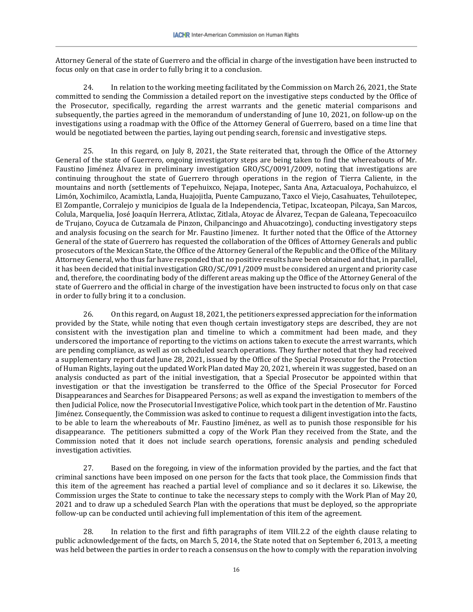Attorney General of the state of Guerrero and the official in charge of the investigation have been instructed to focus only on that case in order to fully bring it to a conclusion.

24. In relation to the working meeting facilitated by the Commission on March 26, 2021, the State committed to sending the Commission a detailed report on the investigative steps conducted by the Office of the Prosecutor, specifically, regarding the arrest warrants and the genetic material comparisons and subsequently, the parties agreed in the memorandum of understanding of June 10, 2021, on follow-up on the investigations using a roadmap with the Office of the Attorney General of Guerrero, based on a time line that would be negotiated between the parties, laying out pending search, forensic and investigative steps.

25. In this regard, on July 8, 2021, the State reiterated that, through the Office of the Attorney General of the state of Guerrero, ongoing investigatory steps are being taken to find the whereabouts of Mr. Faustino Jiménez Álvarez in preliminary investigation GRO/SC/0091/2009, noting that investigations are continuing throughout the state of Guerrero through operations in the region of Tierra Caliente, in the mountains and north (settlements of Tepehuixco, Nejapa, Inotepec, Santa Ana, Aztacualoya, Pochahuizco, el Limón, Xochimilco, Acamixtla, Landa, Huajojitla, Puente Campuzano, Taxco el Viejo, Casahuates, Tehuilotepec, El Zompantle, Corralejo y municipios de Iguala de la Independencia, Tetipac, Ixcateopan, Pilcaya, San Marcos, Colula, Marquelia, José Joaquín Herrera, Atlixtac, Zitlala, Atoyac de Álvarez, Tecpan de Galeana, Tepecoacuilco de Trujano, Coyuca de Cutzamala de Pinzon, Chilpancingo and Ahuacotzingo), conducting investigatory steps and analysis focusing on the search for Mr. Faustino Jimenez. It further noted that the Office of the Attorney General of the state of Guerrero has requested the collaboration of the Offices of Attorney Generals and public prosecutors of the Mexican State, the Office of the Attorney General of the Republic and the Office of the Military Attorney General, who thus far have responded that no positive results have been obtained and that, in parallel, it has been decided that initial investigation GRO/SC/091/2009 must be considered an urgent and priority case and, therefore, the coordinating body of the different areas making up the Office of the Attorney General of the state of Guerrero and the official in charge of the investigation have been instructed to focus only on that case in order to fully bring it to a conclusion.

26. On this regard, on August 18, 2021, the petitioners expressed appreciation for the information provided by the State, while noting that even though certain investigatory steps are described, they are not consistent with the investigation plan and timeline to which a commitment had been made, and they underscored the importance of reporting to the victims on actions taken to execute the arrest warrants, which are pending compliance, as well as on scheduled search operations. They further noted that they had received a supplementary report dated June 28, 2021, issued by the Office of the Special Prosecutor for the Protection of Human Rights, laying out the updated Work Plan dated May 20, 2021, wherein it was suggested, based on an analysis conducted as part of the initial investigation, that a Special Prosecutor be appointed within that investigation or that the investigation be transferred to the Office of the Special Prosecutor for Forced Disappearances and Searches for Disappeared Persons; as well as expand the investigation to members of the then Judicial Police, now the Prosecutorial Investigative Police, which took part in the detention of Mr. Faustino Jiménez. Consequently, the Commission was asked to continue to request a diligent investigation into the facts, to be able to learn the whereabouts of Mr. Faustino Jiménez, as well as to punish those responsible for his disappearance. The petitioners submitted a copy of the Work Plan they received from the State, and the Commission noted that it does not include search operations, forensic analysis and pending scheduled investigation activities.

27. Based on the foregoing, in view of the information provided by the parties, and the fact that criminal sanctions have been imposed on one person for the facts that took place, the Commission finds that this item of the agreement has reached a partial level of compliance and so it declares it so. Likewise, the Commission urges the State to continue to take the necessary steps to comply with the Work Plan of May 20, 2021 and to draw up a scheduled Search Plan with the operations that must be deployed, so the appropriate follow-up can be conducted until achieving full implementation of this item of the agreement.

28. In relation to the first and fifth paragraphs of item VIII.2.2 of the eighth clause relating to public acknowledgement of the facts, on March 5, 2014, the State noted that on September 6, 2013, a meeting was held between the parties in order to reach a consensus on the how to comply with the reparation involving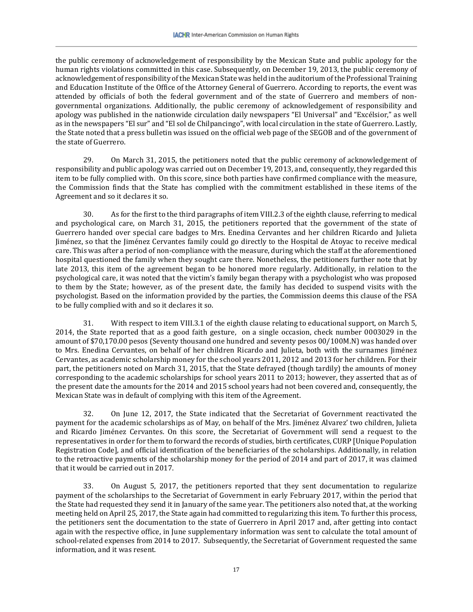the public ceremony of acknowledgement of responsibility by the Mexican State and public apology for the human rights violations committed in this case. Subsequently, on December 19, 2013, the public ceremony of acknowledgement of responsibility of the Mexican State was held in the auditorium of the Professional Training and Education Institute of the Office of the Attorney General of Guerrero. According to reports, the event was attended by officials of both the federal government and of the state of Guerrero and members of nongovernmental organizations. Additionally, the public ceremony of acknowledgement of responsibility and apology was published in the nationwide circulation daily newspapers "El Universal" and "Excélsior," as well as in the newspapers "El sur" and "El sol de Chilpancingo", with local circulation in the state of Guerrero. Lastly, the State noted that a press bulletin was issued on the official web page of the SEGOB and of the government of the state of Guerrero.

29. On March 31, 2015, the petitioners noted that the public ceremony of acknowledgement of responsibility and public apology was carried out on December 19, 2013, and, consequently, they regarded this item to be fully complied with. On this score, since both parties have confirmed compliance with the measure, the Commission finds that the State has complied with the commitment established in these items of the Agreement and so it declares it so.

30. As for the first to the third paragraphs of item VIII.2.3 of the eighth clause, referring to medical and psychological care, on March 31, 2015, the petitioners reported that the government of the state of Guerrero handed over special care badges to Mrs. Enedina Cervantes and her children Ricardo and Julieta Jiménez, so that the Jiménez Cervantes family could go directly to the Hospital de Atoyac to receive medical care. This was after a period of non-compliance with the measure, during which the staff at the aforementioned hospital questioned the family when they sought care there. Nonetheless, the petitioners further note that by late 2013, this item of the agreement began to be honored more regularly. Additionally, in relation to the psychological care, it was noted that the victim's family began therapy with a psychologist who was proposed to them by the State; however, as of the present date, the family has decided to suspend visits with the psychologist. Based on the information provided by the parties, the Commission deems this clause of the FSA to be fully complied with and so it declares it so.

31. With respect to item VIII.3.1 of the eighth clause relating to educational support, on March 5, 2014, the State reported that as a good faith gesture, on a single occasion, check number 0003029 in the amount of \$70,170.00 pesos (Seventy thousand one hundred and seventy pesos 00/100M.N) was handed over to Mrs. Enedina Cervantes, on behalf of her children Ricardo and Julieta, both with the surnames Jiménez Cervantes, as academic scholarship money for the school years 2011, 2012 and 2013 for her children. For their part, the petitioners noted on March 31, 2015, that the State defrayed (though tardily) the amounts of money corresponding to the academic scholarships for school years 2011 to 2013; however, they asserted that as of the present date the amounts for the 2014 and 2015 school years had not been covered and, consequently, the Mexican State was in default of complying with this item of the Agreement.

32. On June 12, 2017, the State indicated that the Secretariat of Government reactivated the payment for the academic scholarships as of May, on behalf of the Mrs. Jiménez Alvarez' two children, Julieta and Ricardo Jiménez Cervantes. On this score, the Secretariat of Government will send a request to the representatives in order for them to forward the records of studies, birth certificates, CURP [Unique Population Registration Code], and official identification of the beneficiaries of the scholarships. Additionally, in relation to the retroactive payments of the scholarship money for the period of 2014 and part of 2017, it was claimed that it would be carried out in 2017.

33. On August 5, 2017, the petitioners reported that they sent documentation to regularize payment of the scholarships to the Secretariat of Government in early February 2017, within the period that the State had requested they send it in January of the same year. The petitioners also noted that, at the working meeting held on April 25, 2017, the State again had committed to regularizing this item. To further this process, the petitioners sent the documentation to the state of Guerrero in April 2017 and, after getting into contact again with the respective office, in June supplementary information was sent to calculate the total amount of school-related expenses from 2014 to 2017. Subsequently, the Secretariat of Government requested the same information, and it was resent.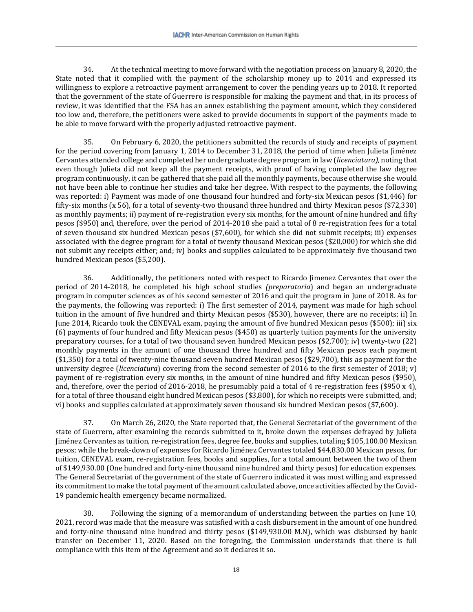34. At the technical meeting to move forward with the negotiation process on January 8, 2020, the State noted that it complied with the payment of the scholarship money up to 2014 and expressed its willingness to explore a retroactive payment arrangement to cover the pending years up to 2018. It reported that the government of the state of Guerrero is responsible for making the payment and that, in its process of review, it was identified that the FSA has an annex establishing the payment amount, which they considered too low and, therefore, the petitioners were asked to provide documents in support of the payments made to be able to move forward with the properly adjusted retroactive payment.

35. On February 6, 2020, the petitioners submitted the records of study and receipts of payment for the period covering from January 1, 2014 to December 31, 2018, the period of time when Julieta Jiménez Cervantes attended college and completed her undergraduate degree program in law (*licenciatura),* noting that even though Julieta did not keep all the payment receipts, with proof of having completed the law degree program continuously, it can be gathered that she paid all the monthly payments, because otherwise she would not have been able to continue her studies and take her degree. With respect to the payments, the following was reported: i) Payment was made of one thousand four hundred and forty-six Mexican pesos (\$1,446) for fifty-six months (x 56), for a total of seventy-two thousand three hundred and thirty Mexican pesos (\$72,330) as monthly payments; ii) payment of re-registration every six months, for the amount of nine hundred and fifty pesos (\$950) and, therefore, over the period of 2014-2018 she paid a total of 8 re-registration fees for a total of seven thousand six hundred Mexican pesos (\$7,600), for which she did not submit receipts; iii) expenses associated with the degree program for a total of twenty thousand Mexican pesos (\$20,000) for which she did not submit any receipts either; and; iv) books and supplies calculated to be approximately five thousand two hundred Mexican pesos (\$5,200).

36. Additionally, the petitioners noted with respect to Ricardo Jimenez Cervantes that over the period of 2014-2018, he completed his high school studies *(preparatoria*) and began an undergraduate program in computer sciences as of his second semester of 2016 and quit the program in June of 2018. As for the payments, the following was reported: i) The first semester of 2014, payment was made for high school tuition in the amount of five hundred and thirty Mexican pesos (\$530), however, there are no receipts; ii) In June 2014, Ricardo took the CENEVAL exam, paying the amount of five hundred Mexican pesos (\$500); iii) six (6) payments of four hundred and fifty Mexican pesos (\$450) as quarterly tuition payments for the university preparatory courses, for a total of two thousand seven hundred Mexican pesos (\$2,700); iv) twenty-two (22) monthly payments in the amount of one thousand three hundred and fifty Mexican pesos each payment (\$1,350) for a total of twenty-nine thousand seven hundred Mexican pesos (\$29,700), this as payment for the university degree (*licenciatura*) covering from the second semester of 2016 to the first semester of 2018; v) payment of re-registration every six months, in the amount of nine hundred and fifty Mexican pesos (\$950), and, therefore, over the period of 2016-2018, he presumably paid a total of 4 re-registration fees (\$950 x 4), for a total of three thousand eight hundred Mexican pesos (\$3,800), for which no receipts were submitted, and; vi) books and supplies calculated at approximately seven thousand six hundred Mexican pesos (\$7,600).

37. On March 26, 2020, the State reported that, the General Secretariat of the government of the state of Guerrero, after examining the records submitted to it, broke down the expenses defrayed by Julieta Jiménez Cervantes as tuition, re-registration fees, degree fee, books and supplies, totaling \$105,100.00 Mexican pesos; while the break-down of expenses for Ricardo Jiménez Cervantes totaled \$44,830.00 Mexican pesos, for tuition, CENEVAL exam, re-registration fees, books and supplies, for a total amount between the two of them of \$149,930.00 (One hundred and forty-nine thousand nine hundred and thirty pesos) for education expenses. The General Secretariat of the government of the state of Guerrero indicated it was most willing and expressed its commitment to make the total payment of the amount calculated above, once activities affected by the Covid-19 pandemic health emergency became normalized.

38. Following the signing of a memorandum of understanding between the parties on June 10, 2021, record was made that the measure was satisfied with a cash disbursement in the amount of one hundred and forty-nine thousand nine hundred and thirty pesos (\$149,930.00 M.N), which was disbursed by bank transfer on December 11, 2020. Based on the foregoing, the Commission understands that there is full compliance with this item of the Agreement and so it declares it so.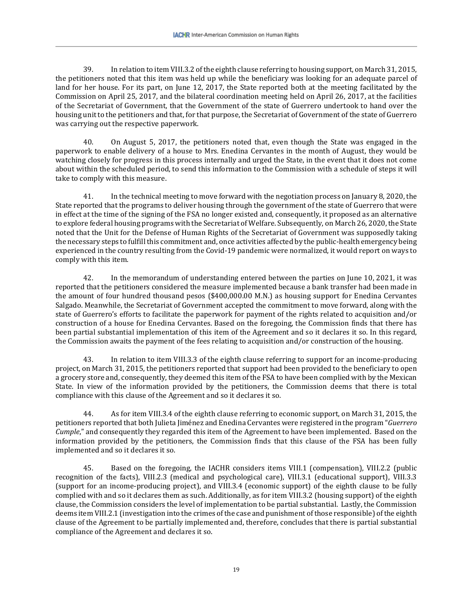39. In relation to item VIII.3.2 of the eighth clause referring to housing support, on March 31, 2015, the petitioners noted that this item was held up while the beneficiary was looking for an adequate parcel of land for her house. For its part, on June 12, 2017, the State reported both at the meeting facilitated by the Commission on April 25, 2017, and the bilateral coordination meeting held on April 26, 2017, at the facilities of the Secretariat of Government, that the Government of the state of Guerrero undertook to hand over the housing unit to the petitioners and that, for that purpose, the Secretariat of Government of the state of Guerrero was carrying out the respective paperwork.

40. On August 5, 2017, the petitioners noted that, even though the State was engaged in the paperwork to enable delivery of a house to Mrs. Enedina Cervantes in the month of August, they would be watching closely for progress in this process internally and urged the State, in the event that it does not come about within the scheduled period, to send this information to the Commission with a schedule of steps it will take to comply with this measure.

41. In the technical meeting to move forward with the negotiation process on January 8, 2020, the State reported that the programs to deliver housing through the government of the state of Guerrero that were in effect at the time of the signing of the FSA no longer existed and, consequently, it proposed as an alternative to explore federal housing programs with the Secretariat of Welfare. Subsequently, on March 26, 2020, the State noted that the Unit for the Defense of Human Rights of the Secretariat of Government was supposedly taking the necessary steps to fulfill this commitment and, once activities affected by the public-health emergency being experienced in the country resulting from the Covid-19 pandemic were normalized, it would report on ways to comply with this item.

42. In the memorandum of understanding entered between the parties on June 10, 2021, it was reported that the petitioners considered the measure implemented because a bank transfer had been made in the amount of four hundred thousand pesos (\$400,000.00 M.N.) as housing support for Enedina Cervantes Salgado. Meanwhile, the Secretariat of Government accepted the commitment to move forward, along with the state of Guerrero's efforts to facilitate the paperwork for payment of the rights related to acquisition and/or construction of a house for Enedina Cervantes. Based on the foregoing, the Commission finds that there has been partial substantial implementation of this item of the Agreement and so it declares it so. In this regard, the Commission awaits the payment of the fees relating to acquisition and/or construction of the housing.

43. In relation to item VIII.3.3 of the eighth clause referring to support for an income-producing project, on March 31, 2015, the petitioners reported that support had been provided to the beneficiary to open a grocery store and, consequently, they deemed this item of the FSA to have been complied with by the Mexican State. In view of the information provided by the petitioners, the Commission deems that there is total compliance with this clause of the Agreement and so it declares it so.

44. As for item VIII.3.4 of the eighth clause referring to economic support, on March 31, 2015, the petitioners reported that both Julieta Jiménez and Enedina Cervantes were registered in the program "*Guerrero Cumple*," and consequently they regarded this item of the Agreement to have been implemented. Based on the information provided by the petitioners, the Commission finds that this clause of the FSA has been fully implemented and so it declares it so.

45. Based on the foregoing, the IACHR considers items VIII.1 (compensation), VIII.2.2 (public recognition of the facts), VIII.2.3 (medical and psychological care), VIII.3.1 (educational support), VIII.3.3 (support for an income-producing project), and VIII.3.4 (economic support) of the eighth clause to be fully complied with and so it declares them as such. Additionally, as for item VIII.3.2 (housing support) of the eighth clause, the Commission considers the level of implementation to be partial substantial. Lastly, the Commission deems item VIII.2.1 (investigation into the crimes of the case and punishment of those responsible) of the eighth clause of the Agreement to be partially implemented and, therefore, concludes that there is partial substantial compliance of the Agreement and declares it so.